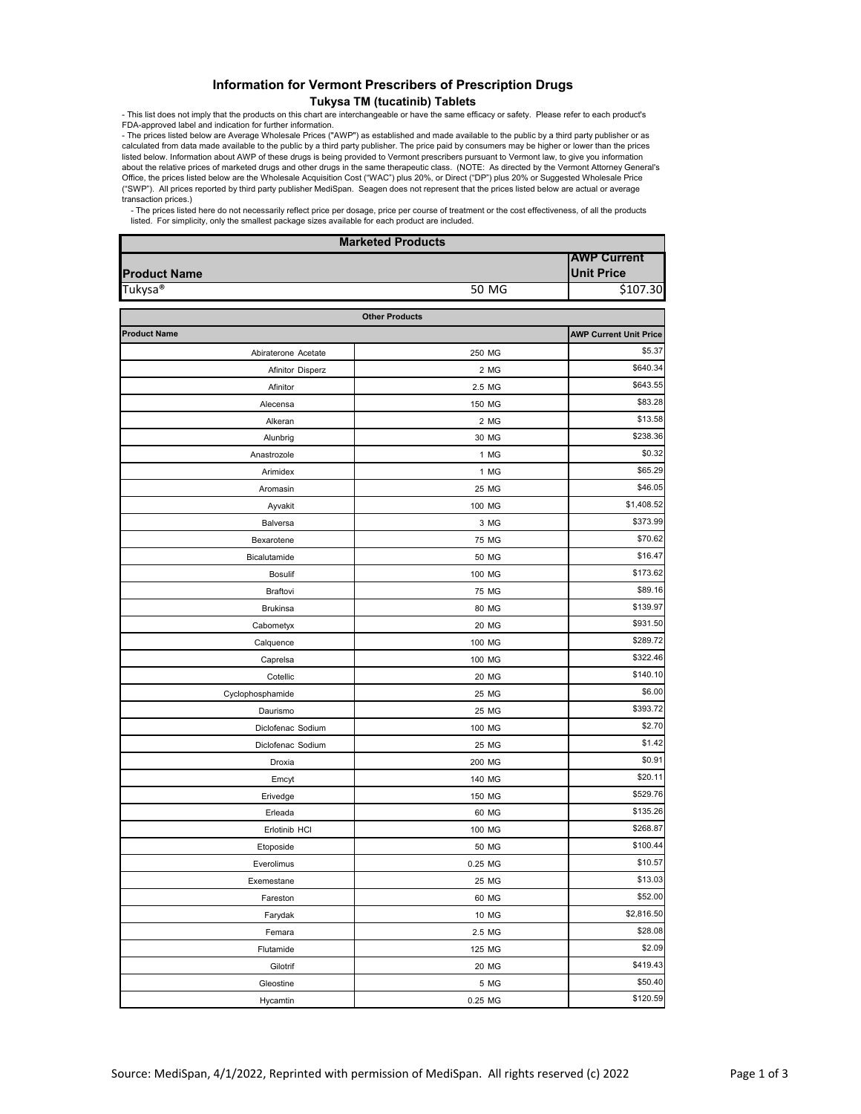## Information for Vermont Prescribers of Prescription Drugs **Tukysa TM (tucatinib) Tablets**

- This list does not imply that the products on this chart are interchangeable or have the same efficacy or safety. Please refer to each product's

FDA-approved label and indication for further information.<br>The prices listed below are Average Wholesale Prices ("AWP") as established and made available to the public by a third party publisher or as<br>calculated from data listed below. Information about AWP of these drugs is being provided to Vermont prescribers pursuant to Vermont law, to give you information about the relative prices of marketed drugs and other drugs in the same therapeutic class. (NOTE: As directed by the Vermont Attorney General's Office, the prices listed below are the Wholesale Acquisition Cost ("WAC") plus 20%, or Direct ("DP") plus 20% or Suggested Wholesale Price ("SWP"). All prices reported by third party publisher MediSpan. Seagen does not represent that the prices listed below are actual or average transaction prices.)

- The prices listed here do not necessarily reflect price per dosage, price per course of treatment or the cost effectiveness, of all the products<br>listed. For simplicity, only the smallest package sizes available for each

| <b>Marketed Products</b> |                       |                                         |  |
|--------------------------|-----------------------|-----------------------------------------|--|
| <b>Product Name</b>      |                       | <b>AWP Current</b><br><b>Unit Price</b> |  |
| Tukysa®                  | 50 MG                 | \$107.30                                |  |
|                          | <b>Other Products</b> |                                         |  |
| <b>Product Name</b>      |                       | <b>AWP Current Unit Price</b>           |  |
| Abiraterone Acetate      | 250 MG                | \$5.37                                  |  |
| <b>Afinitor Disperz</b>  | 2 MG                  | \$640.34                                |  |
| Afinitor                 | 2.5 MG                | \$643.55                                |  |
| Alecensa                 | 150 MG                | \$83.28                                 |  |
| Alkeran                  | 2 MG                  | \$13.58                                 |  |
| Alunbrig                 | 30 MG                 | \$238.36                                |  |
| Anastrozole              | 1 MG                  | \$0.32                                  |  |
| Arimidex                 | 1 MG                  | \$65.29                                 |  |
| Aromasin                 | 25 MG                 | \$46.05                                 |  |
| Ayvakit                  | 100 MG                | \$1,408.52                              |  |
| Balversa                 | 3 MG                  | \$373.99                                |  |
| Bexarotene               | 75 MG                 | \$70.62                                 |  |
| Bicalutamide             | 50 MG                 | \$16.47                                 |  |
| <b>Bosulif</b>           | 100 MG                | \$173.62                                |  |
| Braftovi                 | 75 MG                 | \$89.16                                 |  |
| <b>Brukinsa</b>          | 80 MG                 | \$139.97                                |  |
| Cabometyx                | 20 MG                 | \$931.50                                |  |
| Calquence                | 100 MG                | \$289.72                                |  |
| Caprelsa                 | 100 MG                | \$322.46                                |  |
| Cotellic                 | 20 MG                 | \$140.10                                |  |
| Cyclophosphamide         | 25 MG                 | \$6.00                                  |  |
| Daurismo                 | 25 MG                 | \$393.72                                |  |
| Diclofenac Sodium        | 100 MG                | \$2.70                                  |  |
| Diclofenac Sodium        | 25 MG                 | \$1.42                                  |  |
| Droxia                   | 200 MG                | \$0.91                                  |  |
| Emcyt                    | 140 MG                | \$20.11                                 |  |
| Erivedge                 | 150 MG                | \$529.76                                |  |
| Erleada                  | 60 MG                 | \$135.26                                |  |
| Erlotinib HCI            | 100 MG                | \$268.87                                |  |
| Etoposide                | 50 MG                 | \$100.44                                |  |
| Everolimus               | 0.25 MG               | \$10.57                                 |  |
| Exemestane               | 25 MG                 | \$13.03                                 |  |
| Fareston                 | 60 MG                 | \$52.00                                 |  |
| Farydak                  | 10 MG                 | \$2,816.50                              |  |
| Femara                   | 2.5 MG                | \$28.08                                 |  |
| Flutamide                | 125 MG                | \$2.09                                  |  |
| Gilotrif                 | 20 MG                 | \$419.43                                |  |
| Gleostine                | 5 MG                  | \$50.40                                 |  |
| Hycamtin                 | 0.25 MG               | \$120.59                                |  |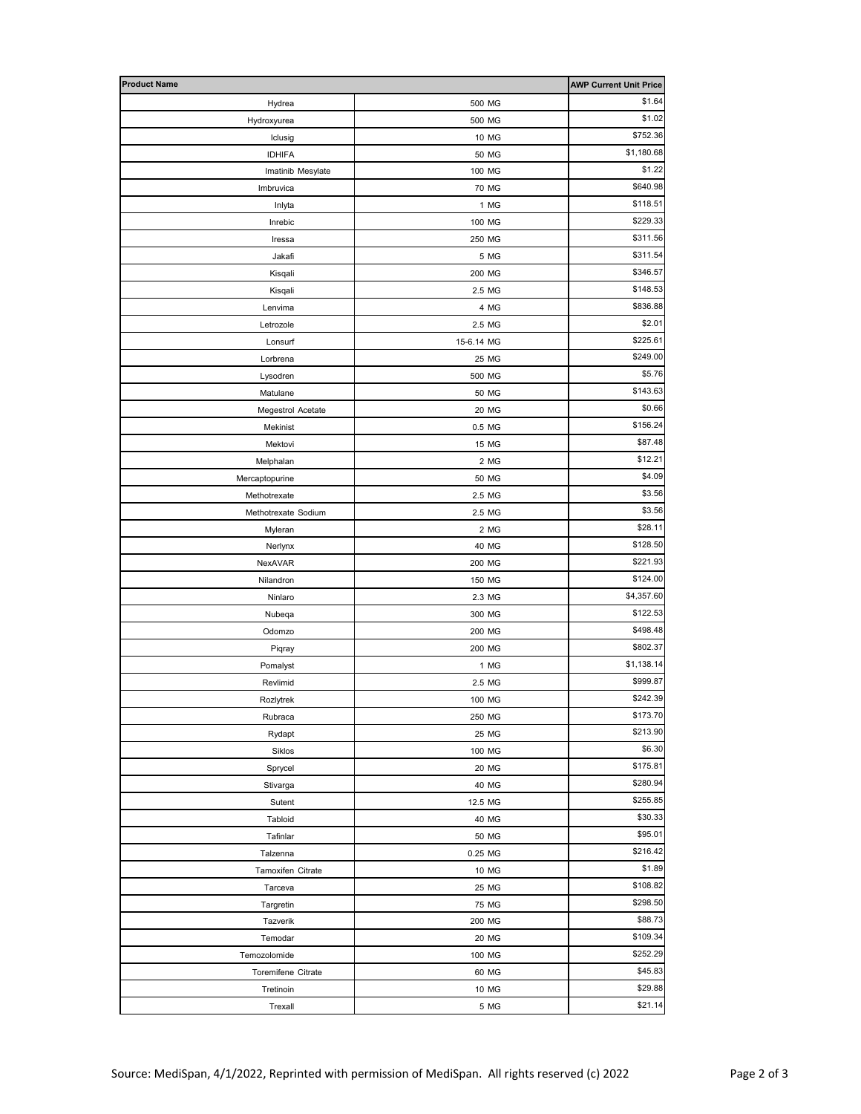| <b>Product Name</b>          |                | <b>AWP Current Unit Price</b> |
|------------------------------|----------------|-------------------------------|
| Hydrea                       | 500 MG         | \$1.64                        |
| Hydroxyurea                  | 500 MG         | \$1.02                        |
| Iclusig                      | 10 MG          | \$752.36                      |
| <b>IDHIFA</b>                | 50 MG          | \$1,180.68                    |
| Imatinib Mesylate            | 100 MG         | \$1.22                        |
| Imbruvica                    | 70 MG          | \$640.98                      |
| Inlyta                       | 1 MG           | \$118.51                      |
| Inrebic                      | 100 MG         | \$229.33                      |
| Iressa                       | 250 MG         | \$311.56                      |
| Jakafi                       | 5 MG           | \$311.54                      |
| Kisqali                      | 200 MG         | \$346.57                      |
| Kisqali                      | 2.5 MG         | \$148.53                      |
| Lenvima                      | 4 MG           | \$836.88                      |
| Letrozole                    | 2.5 MG         | \$2.01                        |
| Lonsurf                      | 15-6.14 MG     | \$225.61                      |
| Lorbrena                     | 25 MG          | \$249.00                      |
| Lysodren                     | 500 MG         | \$5.76                        |
| Matulane                     | 50 MG          | \$143.63                      |
| Megestrol Acetate            | 20 MG          | \$0.66                        |
| Mekinist                     | 0.5 MG         | \$156.24                      |
| Mektovi                      | 15 MG          | \$87.48                       |
| Melphalan                    | 2 MG           | \$12.21                       |
| Mercaptopurine               | 50 MG          | \$4.09                        |
| Methotrexate                 | 2.5 MG         | \$3.56                        |
| Methotrexate Sodium          | 2.5 MG         | \$3.56                        |
| Myleran                      | 2 MG           | \$28.11                       |
| Nerlynx                      | 40 MG          | \$128.50                      |
| NexAVAR                      | 200 MG         | \$221.93                      |
| Nilandron                    | 150 MG         | \$124.00                      |
| Ninlaro                      | 2.3 MG         | \$4,357.60                    |
| Nubeqa                       | 300 MG         | \$122.53                      |
| Odomzo                       | 200 MG         | \$498.48                      |
| Piqray                       | 200 MG         | \$802.37                      |
| Pomalyst                     | 1 MG           | \$1,138.14                    |
| Revlimid                     | 2.5 MG         | \$999.87                      |
| Rozlytrek                    | 100 MG         | \$242.39                      |
| Rubraca                      | 250 MG         | \$173.70                      |
| Rydapt                       | 25 MG          | \$213.90                      |
| Siklos                       | 100 MG         | \$6.30                        |
| Sprycel                      | 20 MG          | \$175.81<br>\$280.94          |
| Stivarga                     | 40 MG          | \$255.85                      |
| Sutent                       | 12.5 MG        | \$30.33                       |
| Tabloid                      | 40 MG          | \$95.01                       |
| Tafinlar                     | 50 MG          | \$216.42                      |
| Talzenna                     | 0.25 MG        | \$1.89                        |
| Tamoxifen Citrate<br>Tarceva | 10 MG<br>25 MG | \$108.82                      |
| Targretin                    | 75 MG          | \$298.50                      |
| Tazverik                     | 200 MG         | \$88.73                       |
| Temodar                      | 20 MG          | \$109.34                      |
| Temozolomide                 | 100 MG         | \$252.29                      |
| Toremifene Citrate           | 60 MG          | \$45.83                       |
| Tretinoin                    | 10 MG          | \$29.88                       |
| Trexall                      | 5 MG           | \$21.14                       |
|                              |                |                               |